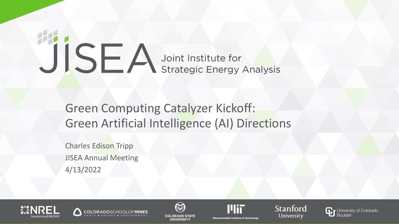# JISEA Joint Institute for

## Green Computing Catalyzer Kickoff: Green Artificial Intelligence (AI) Directions

Charles Edison Tripp JISEA Annual Meeting 4/13/2022











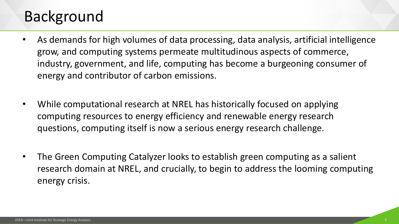## Background

- As demands for high volumes of data processing, data analysis, artificial intelligence grow, and computing systems permeate multitudinous aspects of commerce, industry, government, and life, computing has become a burgeoning consumer of energy and contributor of carbon emissions.
- While computational research at NREL has historically focused on applying computing resources to energy efficiency and renewable energy research questions, computing itself is now a serious energy research challenge.
- The Green Computing Catalyzer looks to establish green computing as a salient research domain at NREL, and crucially, to begin to address the looming computing energy crisis.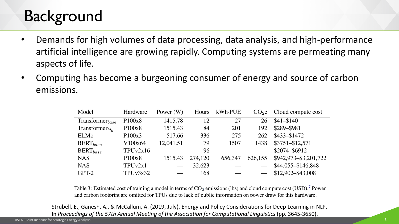# **Background**

- Demands for high volumes of data processing, data analysis, and high-performance artificial intelligence are growing rapidly. Computing systems are permeating many aspects of life.
- Computing has become a burgeoning consumer of energy and source of carbon emissions.

| Model                  | Hardware            | Power $(W)$ | Hours   | kWh·PUE |         | $CO2e$ Cloud compute cost |
|------------------------|---------------------|-------------|---------|---------|---------|---------------------------|
| $Transformer_{base}$   | P100x8              | 1415.78     | 12      | 27      | 26      | \$41-\$140                |
| $Transformer_{bia}$    | P100x8              | 1515.43     | 84      | 201     | 192     | \$289-\$981               |
| ELMo                   | P100x3              | 517.66      | 336     | 275     | 262     | \$433-\$1472              |
| $\mathrm{BERT}_{base}$ | V100x64             | 12,041.51   | 79      | 1507    | 1438    | \$3751-\$12,571           |
| $BERT_{base}$          | TPUv2x16            |             | 96      |         |         | \$2074-\$6912             |
| <b>NAS</b>             | P <sub>100</sub> x8 | 1515.43     | 274,120 | 656,347 | 626,155 | \$942,973-\$3,201,722     |
| <b>NAS</b>             | TPUv2x1             |             | 32,623  |         |         | \$44,055-\$146,848        |
| GPT-2                  | TPUv3x32            |             | 168     |         |         | \$12,902-\$43,008         |

Table 3: Estimated cost of training a model in terms of  $CO_2$  emissions (lbs) and cloud compute cost (USD).<sup>7</sup> Power and carbon footprint are omitted for TPUs due to lack of public information on power draw for this hardw

Strubell, E., Ganesh, A., & McCallum, A. (2019, July). Energy and Policy Considerations for Deep Learning in NLP. In *Proceedings of the 57th Annual Meeting of the Association for Computational Linguistics* (pp. 3645-3650).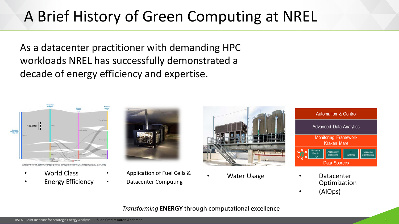# A Brief History of Green Computing at NREL

As a datacenter practitioner with demanding HPC workloads NREL has successfully demonstrated a decade of energy efficiency and expertise.



Energy flow (1.23MW average power) through the HPCDC infrastructure, May 2019

- World Class
- **Energy Efficiency**



- Application of Fuel Cells &
- 





- Datacenter Computing Water Usage Datacenter Optimization
	- (AIOps)

#### Transforming **ENERGY** through computational excellence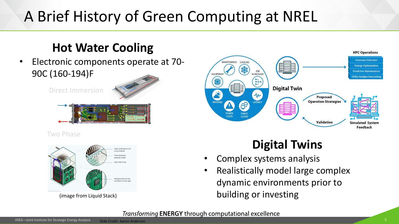# A Brief History of Green Computing at NREL

### **Hot Water Cooling**

• Electronic components operate at 70- 90C (160-194)F

Direct Immersion



Two Phase



(image from Liquid Stack)



## **Digital Twins**

- Complex systems analysis
- Realistically model large complex dynamic environments prior to building or investing

#### Transforming ENERGY through computational excellence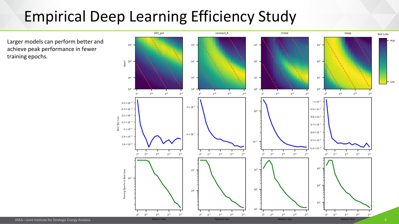# Empirical Deep Learning Efficiency Study

Larger models can perform better and achieve peak performance in fewer training epochs.

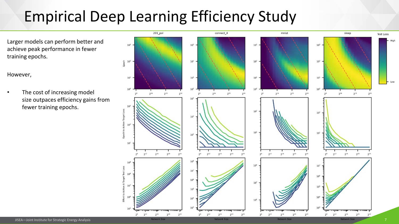# Empirical Deep Learning Efficiency Study

Larger models can perform better and achieve peak performance in fewer training epochs.

However,

The cost of increasing model size outpaces efficiency gains from fewer training epochs.

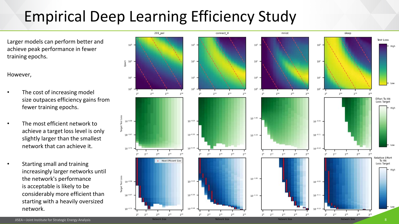# Empirical Deep Learning Efficiency Study

Larger models can perform better and achieve peak performance in fewer training epochs.

However,

- The cost of increasing model size outpaces efficiency gains from fewer training epochs.
- The most efficient network to achieve a target loss level is only slightly larger than the smallest network that can achieve it.
- Starting small and training increasingly larger networks until the network's performance is acceptable is likely to be considerably more efficient than starting with a heavily oversized network.

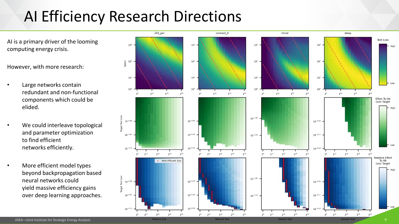# AI Efficiency Research Directions

AI is a primary driver of the looming computing energy crisis.

However, with more research:

- Large networks contain redundant and non-functional components which could be elided.
- We could interleave topological and parameter optimization to find efficient networks efficiently.
- More efficient model types beyond backpropagation based neural networks could yield massive efficiency gains over deep learning approaches.